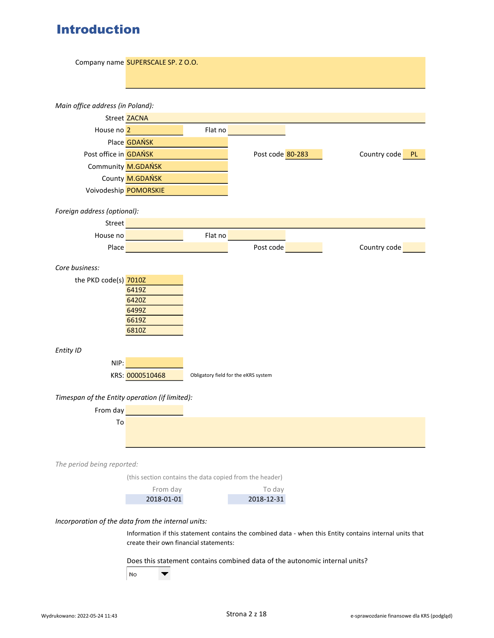# Introduction

|                                                    | Company name SUPERSCALE SP. Z O.O.                                          |         |                                      |                                                                                                          |
|----------------------------------------------------|-----------------------------------------------------------------------------|---------|--------------------------------------|----------------------------------------------------------------------------------------------------------|
|                                                    |                                                                             |         |                                      |                                                                                                          |
| Main office address (in Poland):                   | Street ZACNA                                                                |         |                                      |                                                                                                          |
| House no 2                                         |                                                                             | Flat no |                                      |                                                                                                          |
|                                                    | Place <b>GDAŃSK</b>                                                         |         |                                      |                                                                                                          |
| Post office in <b>GDAŃSK</b>                       |                                                                             |         | Post code 80-283                     | Country code PL                                                                                          |
|                                                    | Community M.GDAŃSK                                                          |         |                                      |                                                                                                          |
|                                                    | County M.GDAŃSK                                                             |         |                                      |                                                                                                          |
|                                                    | Voivodeship POMORSKIE                                                       |         |                                      |                                                                                                          |
|                                                    |                                                                             |         |                                      |                                                                                                          |
| Foreign address (optional):                        |                                                                             |         |                                      |                                                                                                          |
| <b>Street</b>                                      |                                                                             |         |                                      |                                                                                                          |
|                                                    | House no                                                                    | Flat no |                                      |                                                                                                          |
| Place                                              |                                                                             |         | Post code                            | Country code                                                                                             |
| Core business:                                     |                                                                             |         |                                      |                                                                                                          |
| the PKD code(s) 7010Z                              |                                                                             |         |                                      |                                                                                                          |
|                                                    | 6419Z                                                                       |         |                                      |                                                                                                          |
|                                                    | 6420Z                                                                       |         |                                      |                                                                                                          |
|                                                    | 6499Z<br>6619Z                                                              |         |                                      |                                                                                                          |
|                                                    | 6810Z                                                                       |         |                                      |                                                                                                          |
|                                                    |                                                                             |         |                                      |                                                                                                          |
| Entity ID                                          |                                                                             |         |                                      |                                                                                                          |
| NIP:                                               |                                                                             |         |                                      |                                                                                                          |
|                                                    | KRS: 0000510468                                                             |         | Obligatory field for the eKRS system |                                                                                                          |
|                                                    |                                                                             |         |                                      |                                                                                                          |
| Timespan of the Entity operation (if limited):     |                                                                             |         |                                      |                                                                                                          |
| From day                                           |                                                                             |         |                                      |                                                                                                          |
| To                                                 |                                                                             |         |                                      |                                                                                                          |
|                                                    |                                                                             |         |                                      |                                                                                                          |
|                                                    |                                                                             |         |                                      |                                                                                                          |
| The period being reported:                         |                                                                             |         |                                      |                                                                                                          |
|                                                    | (this section contains the data copied from the header)                     |         |                                      |                                                                                                          |
|                                                    | From day                                                                    |         | To day                               |                                                                                                          |
|                                                    | 2018-01-01                                                                  |         | 2018-12-31                           |                                                                                                          |
| Incorporation of the data from the internal units: |                                                                             |         |                                      |                                                                                                          |
|                                                    |                                                                             |         |                                      | Information if this statement contains the combined data - when this Entity contains internal units that |
|                                                    | create their own financial statements:                                      |         |                                      |                                                                                                          |
|                                                    |                                                                             |         |                                      |                                                                                                          |
|                                                    | Does this statement contains combined data of the autonomic internal units? |         |                                      |                                                                                                          |
|                                                    | No<br>▼                                                                     |         |                                      |                                                                                                          |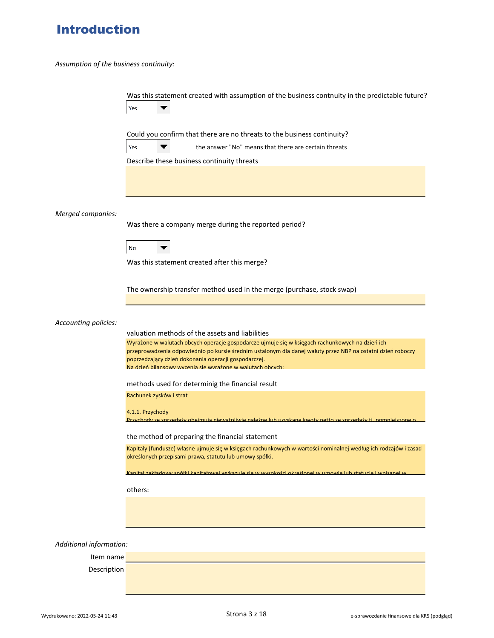# Introduction

Assumption of the business continuity:

|                         | Was this statement created with assumption of the business contnuity in the predictable future?<br>Yes                                                                                                                            |
|-------------------------|-----------------------------------------------------------------------------------------------------------------------------------------------------------------------------------------------------------------------------------|
|                         | Could you confirm that there are no threats to the business continuity?                                                                                                                                                           |
|                         | Yes<br>the answer "No" means that there are certain threats                                                                                                                                                                       |
|                         | Describe these business continuity threats                                                                                                                                                                                        |
|                         |                                                                                                                                                                                                                                   |
| Merged companies:       |                                                                                                                                                                                                                                   |
|                         | Was there a company merge during the reported period?                                                                                                                                                                             |
|                         | No                                                                                                                                                                                                                                |
|                         | Was this statement created after this merge?                                                                                                                                                                                      |
|                         |                                                                                                                                                                                                                                   |
|                         | The ownership transfer method used in the merge (purchase, stock swap)                                                                                                                                                            |
|                         |                                                                                                                                                                                                                                   |
| Accounting policies:    |                                                                                                                                                                                                                                   |
|                         | valuation methods of the assets and liabilities<br>Wyrażone w walutach obcych operacje gospodarcze ujmuje się w księgach rachunkowych na dzień ich                                                                                |
|                         | przeprowadzenia odpowiednio po kursie średnim ustalonym dla danej waluty przez NBP na ostatni dzień roboczy<br>poprzedzający dzień dokonania operacji gospodarczej.<br>Na dzień bilansowy wycenia się wyrażone w walutach obcych: |
|                         | methods used for determinig the financial result                                                                                                                                                                                  |
|                         | Rachunek zysków i strat                                                                                                                                                                                                           |
|                         |                                                                                                                                                                                                                                   |
|                         | 4.1.1. Przychody<br>Przychody ze sprzedaży obejmują niewatpliwie należne lub uzyskane kwoty netto ze sprzedaży ti, nomniejszone                                                                                                   |
|                         | the method of preparing the financial statement                                                                                                                                                                                   |
|                         | Kapitały (fundusze) własne ujmuje się w księgach rachunkowych w wartości nominalnej według ich rodzajów i zasad<br>określonych przepisami prawa, statutu lub umowy spółki.                                                        |
|                         | Kanitał zakładowy snółki kanitałowej wykazuje się w wysokości określonej w umowie lub statucje i wnisanej w                                                                                                                       |
|                         | others:                                                                                                                                                                                                                           |
|                         |                                                                                                                                                                                                                                   |
|                         |                                                                                                                                                                                                                                   |
|                         |                                                                                                                                                                                                                                   |
| Additional information: |                                                                                                                                                                                                                                   |
| Item name               |                                                                                                                                                                                                                                   |
| Description             |                                                                                                                                                                                                                                   |
|                         |                                                                                                                                                                                                                                   |
|                         |                                                                                                                                                                                                                                   |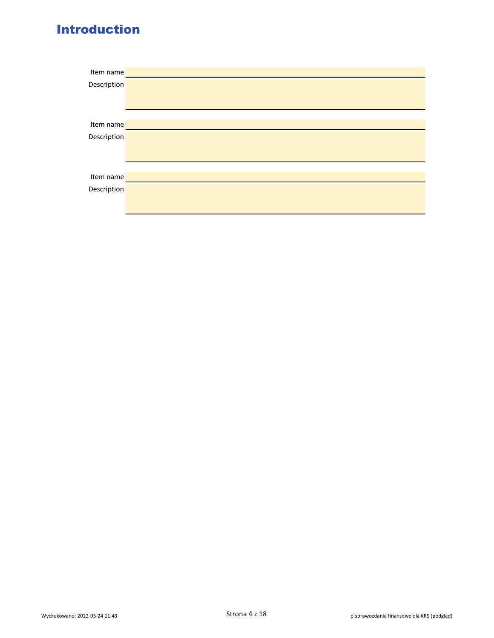# Introduction

| Item name   |  |
|-------------|--|
| Description |  |
|             |  |
|             |  |
|             |  |
| Item name   |  |
| Description |  |
|             |  |
|             |  |
|             |  |
| Item name   |  |
| Description |  |
|             |  |
|             |  |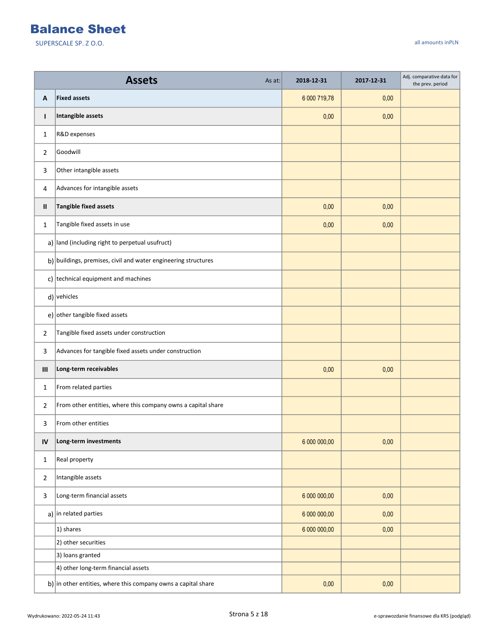|                                    | <b>Assets</b><br>As at:                                        | 2018-12-31   | 2017-12-31 | Adj. comparative data for<br>the prev. period |
|------------------------------------|----------------------------------------------------------------|--------------|------------|-----------------------------------------------|
| Α                                  | <b>Fixed assets</b>                                            | 6 000 719,78 | 0,00       |                                               |
| $\mathbf{I}$                       | Intangible assets                                              | 0,00         | 0,00       |                                               |
| 1                                  | R&D expenses                                                   |              |            |                                               |
| 2                                  | Goodwill                                                       |              |            |                                               |
| 3                                  | Other intangible assets                                        |              |            |                                               |
| 4                                  | Advances for intangible assets                                 |              |            |                                               |
| Ш                                  | <b>Tangible fixed assets</b>                                   | 0,00         | 0,00       |                                               |
| 1                                  | Tangible fixed assets in use                                   | 0,00         | 0,00       |                                               |
|                                    | a) $ $ land (including right to perpetual usufruct)            |              |            |                                               |
|                                    | b) buildings, premises, civil and water engineering structures |              |            |                                               |
|                                    | c) technical equipment and machines                            |              |            |                                               |
|                                    | $d)$ vehicles                                                  |              |            |                                               |
|                                    | e) other tangible fixed assets                                 |              |            |                                               |
| $\overline{2}$                     | Tangible fixed assets under construction                       |              |            |                                               |
| 3                                  | Advances for tangible fixed assets under construction          |              |            |                                               |
| $\ensuremath{\mathsf{III}}\xspace$ | Long-term receivables                                          | 0,00         | 0,00       |                                               |
| 1                                  | From related parties                                           |              |            |                                               |
| 2                                  | From other entities, where this company owns a capital share   |              |            |                                               |
| 3                                  | From other entities                                            |              |            |                                               |
| IV                                 | Long-term investments                                          | 6 000 000,00 | 0,00       |                                               |
| $\mathbf{1}$                       | Real property                                                  |              |            |                                               |
| $\overline{2}$                     | Intangible assets                                              |              |            |                                               |
| 3                                  | Long-term financial assets                                     | 6 000 000,00 | 0,00       |                                               |
|                                    | a) in related parties                                          | 6 000 000,00 | 0,00       |                                               |
|                                    | 1) shares                                                      | 6 000 000,00 | 0,00       |                                               |
|                                    | 2) other securities                                            |              |            |                                               |
|                                    | 3) loans granted                                               |              |            |                                               |
|                                    | 4) other long-term financial assets                            |              |            |                                               |
|                                    | b) in other entities, where this company owns a capital share  | 0,00         | 0,00       |                                               |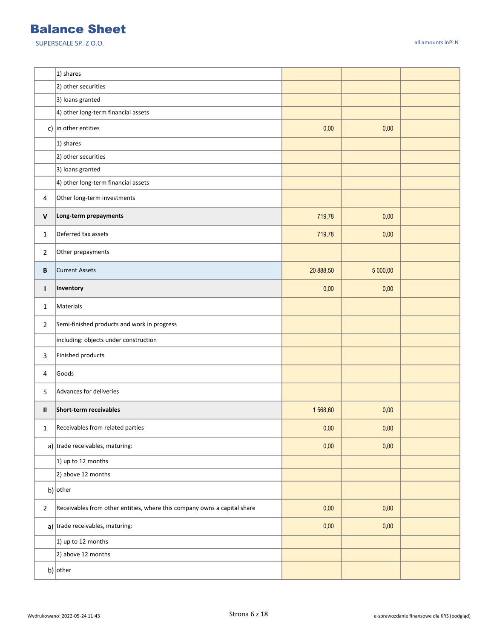|                | 1) shares                                                                |           |          |  |
|----------------|--------------------------------------------------------------------------|-----------|----------|--|
|                | 2) other securities                                                      |           |          |  |
|                | 3) loans granted                                                         |           |          |  |
|                | 4) other long-term financial assets                                      |           |          |  |
|                | c) in other entities                                                     | 0,00      | 0,00     |  |
|                | 1) shares                                                                |           |          |  |
|                | 2) other securities                                                      |           |          |  |
|                | 3) loans granted                                                         |           |          |  |
|                | 4) other long-term financial assets                                      |           |          |  |
| 4              | Other long-term investments                                              |           |          |  |
| $\mathsf{V}$   | Long-term prepayments                                                    | 719,78    | 0,00     |  |
| $\mathbf{1}$   | Deferred tax assets                                                      | 719,78    | 0,00     |  |
| 2              | Other prepayments                                                        |           |          |  |
| В              | <b>Current Assets</b>                                                    | 20 888,50 | 5 000,00 |  |
| т              | Inventory                                                                | 0,00      | 0,00     |  |
| $\mathbf{1}$   | Materials                                                                |           |          |  |
| 2              | Semi-finished products and work in progress                              |           |          |  |
|                | including: objects under construction                                    |           |          |  |
| 3              | Finished products                                                        |           |          |  |
| 4              | Goods                                                                    |           |          |  |
| 5              | Advances for deliveries                                                  |           |          |  |
| Ш              | Short-term receivables                                                   | 1568,60   | 0,00     |  |
| 1              | Receivables from related parties                                         | 0,00      | 0,00     |  |
|                | a) trade receivables, maturing:                                          | 0,00      | 0,00     |  |
|                | 1) up to 12 months                                                       |           |          |  |
|                | 2) above 12 months                                                       |           |          |  |
|                | b) other                                                                 |           |          |  |
| $\overline{2}$ | Receivables from other entities, where this company owns a capital share | 0,00      | 0,00     |  |
|                | a) trade receivables, maturing:                                          | 0,00      | 0,00     |  |
|                | 1) up to 12 months                                                       |           |          |  |
|                | 2) above 12 months                                                       |           |          |  |
|                | b) other                                                                 |           |          |  |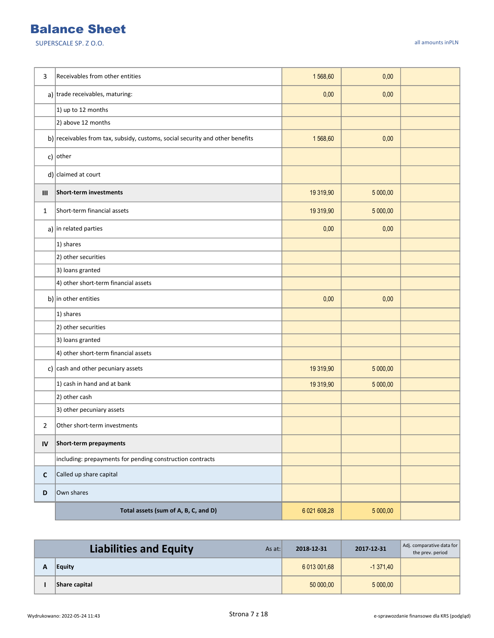| 3              | Receivables from other entities                                               | 1568,60      | 0,00     |  |
|----------------|-------------------------------------------------------------------------------|--------------|----------|--|
|                | a) trade receivables, maturing:                                               | 0,00         | 0,00     |  |
|                | 1) up to 12 months                                                            |              |          |  |
|                | 2) above 12 months                                                            |              |          |  |
|                | b) receivables from tax, subsidy, customs, social security and other benefits | 1568,60      | 0,00     |  |
|                | c) other                                                                      |              |          |  |
|                | $d$ ) claimed at court                                                        |              |          |  |
| $\mathbf{III}$ | Short-term investments                                                        | 19 319,90    | 5 000,00 |  |
| 1              | Short-term financial assets                                                   | 19 319,90    | 5 000,00 |  |
|                | a) in related parties                                                         | 0,00         | 0,00     |  |
|                | 1) shares                                                                     |              |          |  |
|                | 2) other securities                                                           |              |          |  |
|                | 3) loans granted                                                              |              |          |  |
|                | 4) other short-term financial assets                                          |              |          |  |
|                | b) in other entities                                                          | 0,00         | 0,00     |  |
|                | 1) shares                                                                     |              |          |  |
|                | 2) other securities                                                           |              |          |  |
|                | 3) loans granted                                                              |              |          |  |
|                | 4) other short-term financial assets                                          |              |          |  |
|                | c) $\vert$ cash and other pecuniary assets                                    | 19 319,90    | 5 000,00 |  |
|                | 1) cash in hand and at bank                                                   | 19 319,90    | 5 000,00 |  |
|                | 2) other cash                                                                 |              |          |  |
|                | 3) other pecuniary assets                                                     |              |          |  |
| 2              | Other short-term investments                                                  |              |          |  |
| IV             | Short-term prepayments                                                        |              |          |  |
|                | including: prepayments for pending construction contracts                     |              |          |  |
| C              | Called up share capital                                                       |              |          |  |
| D              | Own shares                                                                    |              |          |  |
|                | Total assets (sum of A, B, C, and D)                                          | 6 021 608,28 | 5 000,00 |  |

| <b>Liabilities and Equity</b><br>As at: | 2018-12-31   | 2017-12-31 | Adj. comparative data for<br>the prev. period |
|-----------------------------------------|--------------|------------|-----------------------------------------------|
| Equity                                  | 6 013 001.68 | $-1371.40$ |                                               |
| Share capital                           | 50 000.00    | 5 000,00   |                                               |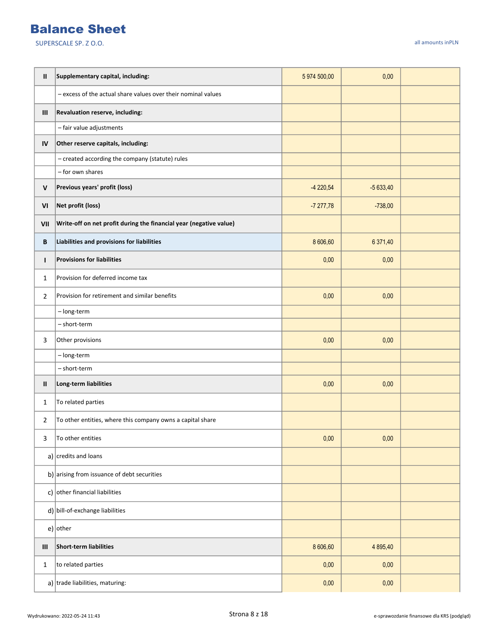| Ш            | Supplementary capital, including:                                  | 5 974 500,00 | 0,00       |  |
|--------------|--------------------------------------------------------------------|--------------|------------|--|
|              | - excess of the actual share values over their nominal values      |              |            |  |
| Ш            | Revaluation reserve, including:                                    |              |            |  |
|              | - fair value adjustments                                           |              |            |  |
| IV           | Other reserve capitals, including:                                 |              |            |  |
|              | - created according the company (statute) rules                    |              |            |  |
|              | - for own shares                                                   |              |            |  |
| $\mathsf{V}$ | Previous years' profit (loss)                                      | $-4220,54$   | $-5633,40$ |  |
| VI           | Net profit (loss)                                                  | $-7277,78$   | $-738,00$  |  |
| VII          | Write-off on net profit during the financial year (negative value) |              |            |  |
| В            | Liabilities and provisions for liabilities                         | 8 606,60     | 6 371,40   |  |
| L            | <b>Provisions for liabilities</b>                                  | 0,00         | 0,00       |  |
| $\mathbf{1}$ | Provision for deferred income tax                                  |              |            |  |
| 2            | Provision for retirement and similar benefits                      | 0,00         | 0,00       |  |
|              | - long-term                                                        |              |            |  |
|              | - short-term                                                       |              |            |  |
| 3            | Other provisions                                                   | 0,00         | 0,00       |  |
|              | - long-term                                                        |              |            |  |
|              | - short-term                                                       |              |            |  |
| Ш            | Long-term liabilities                                              | 0,00         | 0,00       |  |
| 1            | To related parties                                                 |              |            |  |
| 2            | To other entities, where this company owns a capital share         |              |            |  |
| 3            | To other entities                                                  | 0,00         | 0,00       |  |
|              | a) $ {\rm credits}$ and loans                                      |              |            |  |
|              | b) arising from issuance of debt securities                        |              |            |  |
|              | c) other financial liabilities                                     |              |            |  |
|              | d) bill-of-exchange liabilities                                    |              |            |  |
|              | $e)$ other                                                         |              |            |  |
| III          | Short-term liabilities                                             | 8 606,60     | 4 8 9 5,40 |  |
| $\mathbf{1}$ | to related parties                                                 | 0,00         | 0,00       |  |
|              | a) trade liabilities, maturing:                                    | 0,00         | 0,00       |  |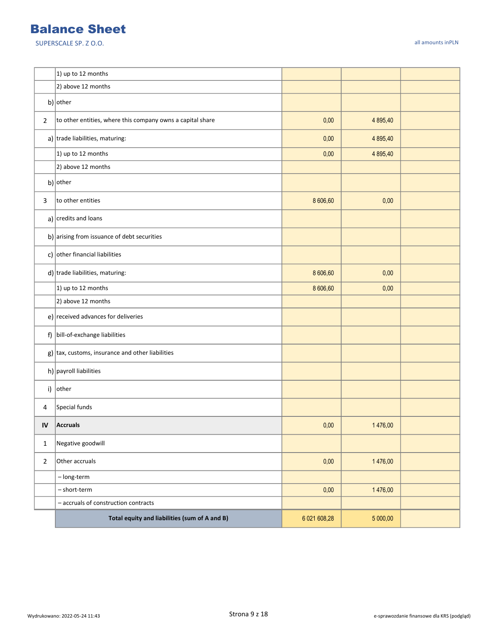|                | 1) up to 12 months                                          |              |          |  |
|----------------|-------------------------------------------------------------|--------------|----------|--|
|                | 2) above 12 months                                          |              |          |  |
|                | b) other                                                    |              |          |  |
| $\overline{2}$ | to other entities, where this company owns a capital share  | 0,00         | 4 895,40 |  |
|                | a) trade liabilities, maturing:                             | 0,00         | 4 895,40 |  |
|                | 1) up to 12 months                                          | 0,00         | 4 895,40 |  |
|                | 2) above 12 months                                          |              |          |  |
|                | b) other                                                    |              |          |  |
| 3              | to other entities                                           | 8 606,60     | 0,00     |  |
|                | a) credits and loans                                        |              |          |  |
|                | b) arising from issuance of debt securities                 |              |          |  |
|                | c) other financial liabilities                              |              |          |  |
|                | $d$ ) trade liabilities, maturing:                          | 8 606,60     | 0,00     |  |
|                | 1) up to 12 months                                          | 8 606,60     | 0,00     |  |
|                | 2) above 12 months                                          |              |          |  |
|                | e) received advances for deliveries                         |              |          |  |
|                | f) bill-of-exchange liabilities                             |              |          |  |
|                | $g$ ) $\vert$ tax, customs, insurance and other liabilities |              |          |  |
|                | h) $ $ payroll liabilities                                  |              |          |  |
|                | i) other                                                    |              |          |  |
| 4              | Special funds                                               |              |          |  |
| IV             | <b>Accruals</b>                                             | 0,00         | 1476,00  |  |
| $\mathbf{1}$   | Negative goodwill                                           |              |          |  |
| $\overline{2}$ | Other accruals                                              | 0,00         | 1476,00  |  |
|                | - long-term                                                 |              |          |  |
|                | - short-term                                                | 0,00         | 1476,00  |  |
|                | - accruals of construction contracts                        |              |          |  |
|                | Total equity and liabilities (sum of A and B)               | 6 021 608,28 | 5 000,00 |  |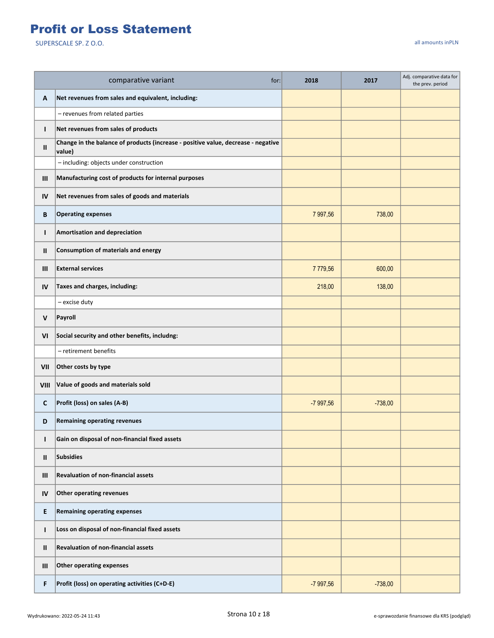## Profit or Loss Statement

|              | comparative variant<br>for:                                                                 | 2018       | 2017      | Adj. comparative data for<br>the prev. period |
|--------------|---------------------------------------------------------------------------------------------|------------|-----------|-----------------------------------------------|
| A            | Net revenues from sales and equivalent, including:                                          |            |           |                                               |
|              | - revenues from related parties                                                             |            |           |                                               |
| $\mathbf{I}$ | Net revenues from sales of products                                                         |            |           |                                               |
| Ш            | Change in the balance of products (increase - positive value, decrease - negative<br>value) |            |           |                                               |
|              | - including: objects under construction                                                     |            |           |                                               |
| Ш            | Manufacturing cost of products for internal purposes                                        |            |           |                                               |
| IV           | Net revenues from sales of goods and materials                                              |            |           |                                               |
| В            | <b>Operating expenses</b>                                                                   | 7 997,56   | 738,00    |                                               |
| $\mathbf{I}$ | Amortisation and depreciation                                                               |            |           |                                               |
| Ш            | <b>Consumption of materials and energy</b>                                                  |            |           |                                               |
| Ш            | <b>External services</b>                                                                    | 7779,56    | 600,00    |                                               |
| IV           | Taxes and charges, including:                                                               | 218,00     | 138,00    |                                               |
|              | - excise duty                                                                               |            |           |                                               |
| V            | Payroll                                                                                     |            |           |                                               |
| VI           | Social security and other benefits, includng:                                               |            |           |                                               |
|              | - retirement benefits                                                                       |            |           |                                               |
| VII          | Other costs by type                                                                         |            |           |                                               |
| VIII         | Value of goods and materials sold                                                           |            |           |                                               |
| C            | Profit (loss) on sales (A-B)                                                                | -7 997,56  | $-738,00$ |                                               |
| D            | <b>Remaining operating revenues</b>                                                         |            |           |                                               |
| T            | Gain on disposal of non-financial fixed assets                                              |            |           |                                               |
| Ш            | Subsidies                                                                                   |            |           |                                               |
| Ш            | <b>Revaluation of non-financial assets</b>                                                  |            |           |                                               |
| IV           | Other operating revenues                                                                    |            |           |                                               |
| E            | <b>Remaining operating expenses</b>                                                         |            |           |                                               |
| T            | Loss on disposal of non-financial fixed assets                                              |            |           |                                               |
| Ш            | <b>Revaluation of non-financial assets</b>                                                  |            |           |                                               |
| Ш            | Other operating expenses                                                                    |            |           |                                               |
| F            | Profit (loss) on operating activities (C+D-E)                                               | $-7997,56$ | $-738,00$ |                                               |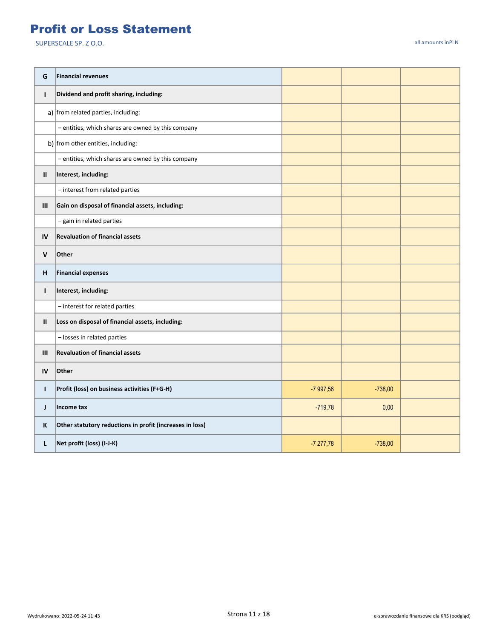#### Profit or Loss Statement

| G            | <b>Financial revenues</b>                                |            |           |  |
|--------------|----------------------------------------------------------|------------|-----------|--|
| $\mathbf{I}$ | Dividend and profit sharing, including:                  |            |           |  |
|              | a) from related parties, including:                      |            |           |  |
|              | - entities, which shares are owned by this company       |            |           |  |
|              | b) from other entities, including:                       |            |           |  |
|              | - entities, which shares are owned by this company       |            |           |  |
| Ш            | Interest, including:                                     |            |           |  |
|              | - interest from related parties                          |            |           |  |
| Ш            | Gain on disposal of financial assets, including:         |            |           |  |
|              | - gain in related parties                                |            |           |  |
| IV           | <b>Revaluation of financial assets</b>                   |            |           |  |
| V            | Other                                                    |            |           |  |
| н            | <b>Financial expenses</b>                                |            |           |  |
| $\mathbf{I}$ | Interest, including:                                     |            |           |  |
|              | - interest for related parties                           |            |           |  |
| Ш            | Loss on disposal of financial assets, including:         |            |           |  |
|              | - losses in related parties                              |            |           |  |
| III          | <b>Revaluation of financial assets</b>                   |            |           |  |
| IV           | Other                                                    |            |           |  |
| $\mathbf{I}$ | Profit (loss) on business activities (F+G-H)             | -7 997,56  | $-738,00$ |  |
| J            | Income tax                                               | $-719,78$  | 0,00      |  |
| ĸ            | Other statutory reductions in profit (increases in loss) |            |           |  |
| L            | Net profit (loss) (I-J-K)                                | $-7277,78$ | $-738,00$ |  |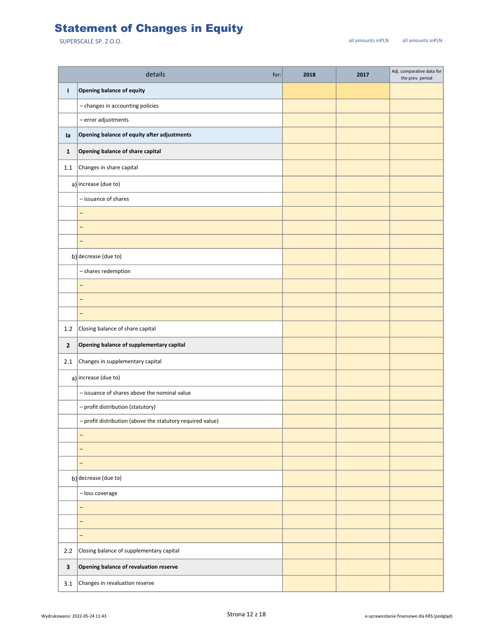## Statement of Changes in Equity

|                | details<br>for:                                            | 2018 | 2017 | Adj. comparative data for<br>the prev. period |
|----------------|------------------------------------------------------------|------|------|-----------------------------------------------|
| т              | <b>Opening balance of equity</b>                           |      |      |                                               |
|                | - changes in accounting policies                           |      |      |                                               |
|                | $-$ error adjustments                                      |      |      |                                               |
| la             | Opening balance of equity after adjustments                |      |      |                                               |
| $\mathbf{1}$   | Opening balance of share capital                           |      |      |                                               |
| 1.1            | Changes in share capital                                   |      |      |                                               |
|                | a) increase (due to)                                       |      |      |                                               |
|                | - issuance of shares                                       |      |      |                                               |
|                | $\overline{\phantom{0}}$                                   |      |      |                                               |
|                | $\overline{a}$                                             |      |      |                                               |
|                | $\overline{\phantom{0}}$                                   |      |      |                                               |
|                | b) decrease (due to)                                       |      |      |                                               |
|                | - shares redemption                                        |      |      |                                               |
|                | -                                                          |      |      |                                               |
|                | $\overline{\phantom{0}}$                                   |      |      |                                               |
|                | $\overline{\phantom{0}}$                                   |      |      |                                               |
| 1.2            | Closing balance of share capital                           |      |      |                                               |
| $\overline{2}$ | Opening balance of supplementary capital                   |      |      |                                               |
| 2.1            | Changes in supplementary capital                           |      |      |                                               |
|                | $a$ ) increase (due to)                                    |      |      |                                               |
|                | - issuance of shares above the nominal value               |      |      |                                               |
|                | - profit distribution (statutory)                          |      |      |                                               |
|                | - profit distribution (above the statutory required value) |      |      |                                               |
|                | -                                                          |      |      |                                               |
|                | $\qquad \qquad -$                                          |      |      |                                               |
|                | $\overline{\phantom{0}}$                                   |      |      |                                               |
|                | b) decrease (due to)                                       |      |      |                                               |
|                | - loss coverage                                            |      |      |                                               |
|                | $\overline{\phantom{0}}$                                   |      |      |                                               |
|                | -                                                          |      |      |                                               |
|                | -                                                          |      |      |                                               |
| 2.2            | Closing balance of supplementary capital                   |      |      |                                               |
| $\mathbf{3}$   | Opening balance of revaluation reserve                     |      |      |                                               |
| 3.1            | Changes in revaluation reserve                             |      |      |                                               |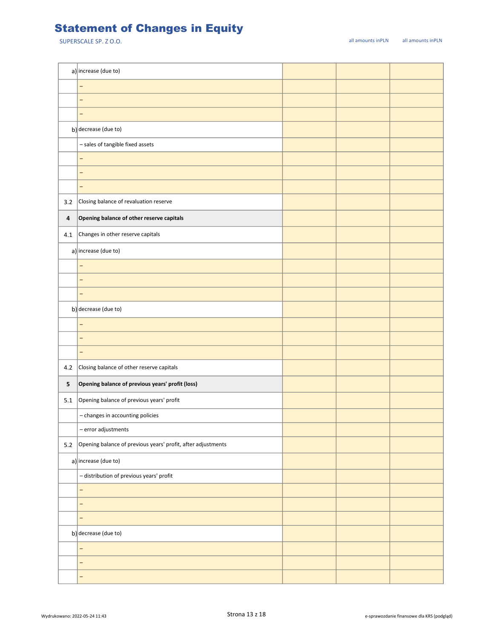## Statement of Changes in Equity

|           | a) increase (due to)                                         |  |  |
|-----------|--------------------------------------------------------------|--|--|
|           | -                                                            |  |  |
|           | -                                                            |  |  |
|           | -                                                            |  |  |
|           | b) decrease (due to)                                         |  |  |
|           | - sales of tangible fixed assets                             |  |  |
|           | -                                                            |  |  |
|           | -                                                            |  |  |
|           | -                                                            |  |  |
| 3.2       | Closing balance of revaluation reserve                       |  |  |
| $\pmb{4}$ | Opening balance of other reserve capitals                    |  |  |
| 4.1       | Changes in other reserve capitals                            |  |  |
|           | a) increase (due to)                                         |  |  |
|           | $\overline{\phantom{0}}$                                     |  |  |
|           | -                                                            |  |  |
|           | -                                                            |  |  |
|           | b) decrease (due to)                                         |  |  |
|           | -                                                            |  |  |
|           | -                                                            |  |  |
|           | -                                                            |  |  |
| 4.2       | Closing balance of other reserve capitals                    |  |  |
| 5         | Opening balance of previous years' profit (loss)             |  |  |
| 5.1       | Opening balance of previous years' profit                    |  |  |
|           | - changes in accounting policies                             |  |  |
|           | - error adjustments                                          |  |  |
| $5.2\,$   | Opening balance of previous years' profit, after adjustments |  |  |
|           | a) increase (due to)                                         |  |  |
|           | - distribution of previous years' profit                     |  |  |
|           | -                                                            |  |  |
|           | -                                                            |  |  |
|           | -                                                            |  |  |
|           | b) decrease (due to)                                         |  |  |
|           | -                                                            |  |  |
|           | -                                                            |  |  |
|           | -                                                            |  |  |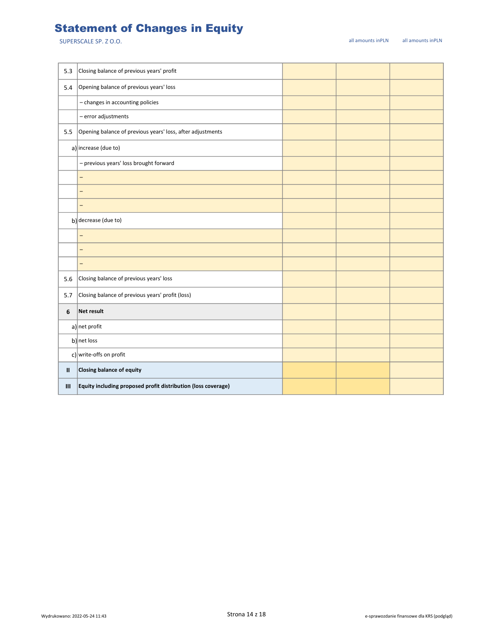# Statement of Changes in Equity

| 5.3          | Closing balance of previous years' profit                     |  |  |
|--------------|---------------------------------------------------------------|--|--|
| 5.4          | Opening balance of previous years' loss                       |  |  |
|              | - changes in accounting policies                              |  |  |
|              | - error adjustments                                           |  |  |
| 5.5          | Opening balance of previous years' loss, after adjustments    |  |  |
|              | a) increase (due to)                                          |  |  |
|              | - previous years' loss brought forward                        |  |  |
|              | -                                                             |  |  |
|              | $\overline{\phantom{0}}$                                      |  |  |
|              | -                                                             |  |  |
|              | b) decrease (due to)                                          |  |  |
|              | $\overline{\phantom{0}}$                                      |  |  |
|              | -                                                             |  |  |
|              | -                                                             |  |  |
| 5.6          | Closing balance of previous years' loss                       |  |  |
| 5.7          | Closing balance of previous years' profit (loss)              |  |  |
| 6            | Net result                                                    |  |  |
|              | $a$ ] net profit                                              |  |  |
|              | b) net loss                                                   |  |  |
|              | c) write-offs on profit                                       |  |  |
| $\mathbf{H}$ | Closing balance of equity                                     |  |  |
| Ш            | Equity including proposed profit distribution (loss coverage) |  |  |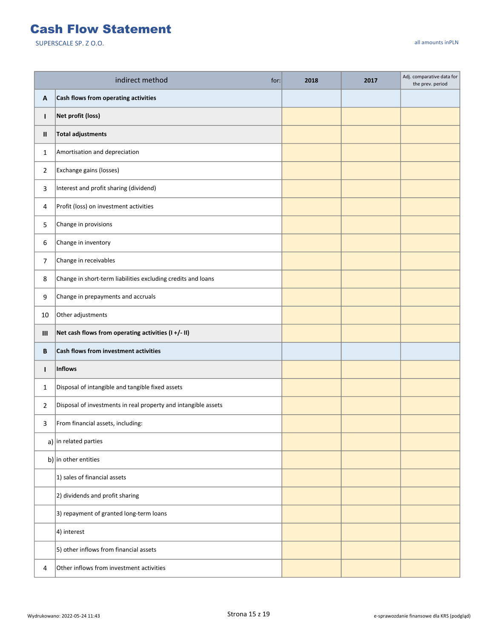#### Cash Flow Statement

|                | indirect method<br>for:                                        | 2018 | 2017 | Adj. comparative data for<br>the prev. period |
|----------------|----------------------------------------------------------------|------|------|-----------------------------------------------|
| A              | Cash flows from operating activities                           |      |      |                                               |
| $\mathbf{I}$   | Net profit (loss)                                              |      |      |                                               |
| Ш              | <b>Total adjustments</b>                                       |      |      |                                               |
| 1              | Amortisation and depreciation                                  |      |      |                                               |
| $\overline{2}$ | Exchange gains (losses)                                        |      |      |                                               |
| 3              | Interest and profit sharing (dividend)                         |      |      |                                               |
| 4              | Profit (loss) on investment activities                         |      |      |                                               |
| 5              | Change in provisions                                           |      |      |                                               |
| 6              | Change in inventory                                            |      |      |                                               |
| 7              | Change in receivables                                          |      |      |                                               |
| 8              | Change in short-term liabilities excluding credits and loans   |      |      |                                               |
| 9              | Change in prepayments and accruals                             |      |      |                                               |
| 10             | Other adjustments                                              |      |      |                                               |
| Ш              | Net cash flows from operating activities (I+/- II)             |      |      |                                               |
| B              | Cash flows from investment activities                          |      |      |                                               |
| $\mathbf{I}$   | <b>Inflows</b>                                                 |      |      |                                               |
| 1              | Disposal of intangible and tangible fixed assets               |      |      |                                               |
| $\overline{2}$ | Disposal of investments in real property and intangible assets |      |      |                                               |
| 3              | From financial assets, including:                              |      |      |                                               |
|                | a) in related parties                                          |      |      |                                               |
|                | b) in other entities                                           |      |      |                                               |
|                | 1) sales of financial assets                                   |      |      |                                               |
|                | 2) dividends and profit sharing                                |      |      |                                               |
|                | 3) repayment of granted long-term loans                        |      |      |                                               |
|                | 4) interest                                                    |      |      |                                               |
|                | 5) other inflows from financial assets                         |      |      |                                               |
| 4              | Other inflows from investment activities                       |      |      |                                               |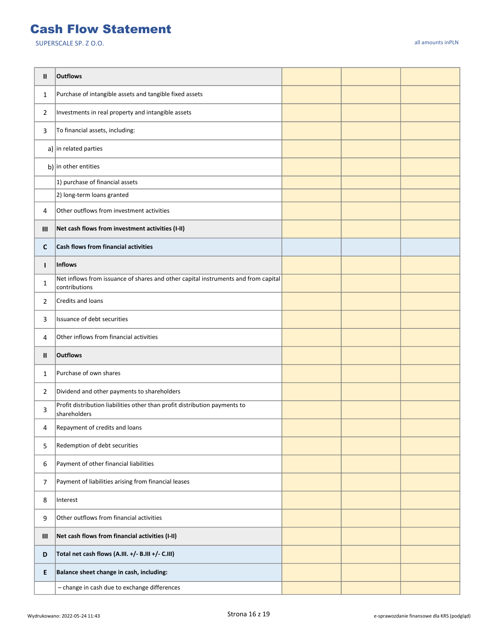#### Cash Flow Statement

| Ш            | <b>Outflows</b>                                                                                     |  |  |
|--------------|-----------------------------------------------------------------------------------------------------|--|--|
| $\mathbf{1}$ | Purchase of intangible assets and tangible fixed assets                                             |  |  |
| 2            | Investments in real property and intangible assets                                                  |  |  |
| 3            | To financial assets, including:                                                                     |  |  |
|              | a) in related parties                                                                               |  |  |
|              | b) in other entities                                                                                |  |  |
|              | 1) purchase of financial assets                                                                     |  |  |
|              | 2) long-term loans granted                                                                          |  |  |
| 4            | Other outflows from investment activities                                                           |  |  |
| Ш            | Net cash flows from investment activities (I-II)                                                    |  |  |
| C            | Cash flows from financial activities                                                                |  |  |
| L            | Inflows                                                                                             |  |  |
| 1            | Net inflows from issuance of shares and other capital instruments and from capital<br>contributions |  |  |
| 2            | Credits and loans                                                                                   |  |  |
| 3            | Issuance of debt securities                                                                         |  |  |
| 4            | Other inflows from financial activities                                                             |  |  |
| Ш            | <b>Outflows</b>                                                                                     |  |  |
| $\mathbf{1}$ | Purchase of own shares                                                                              |  |  |
| 2            | Dividend and other payments to shareholders                                                         |  |  |
| 3            | Profit distribution liabilities other than profit distribution payments to<br>shareholders          |  |  |
| 4            | Repayment of credits and loans                                                                      |  |  |
| 5            | Redemption of debt securities                                                                       |  |  |
| 6            | Payment of other financial liabilities                                                              |  |  |
| 7            | Payment of liabilities arising from financial leases                                                |  |  |
| 8            | Interest                                                                                            |  |  |
| 9            | Other outflows from financial activities                                                            |  |  |
| Ш            | Net cash flows from financial activities (I-II)                                                     |  |  |
| D            | Total net cash flows (A.III. +/- B.III +/- C.III)                                                   |  |  |
| E.           | Balance sheet change in cash, including:                                                            |  |  |
|              | - change in cash due to exchange differences                                                        |  |  |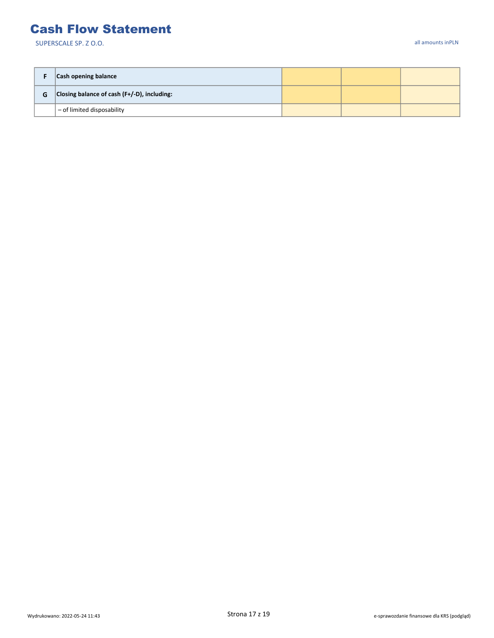#### Cash Flow Statement

|   | <b>Cash opening balance</b>                    |  |  |
|---|------------------------------------------------|--|--|
| G | Closing balance of cash $(F+/-D)$ , including: |  |  |
|   | $\vert$ – of limited disposability             |  |  |